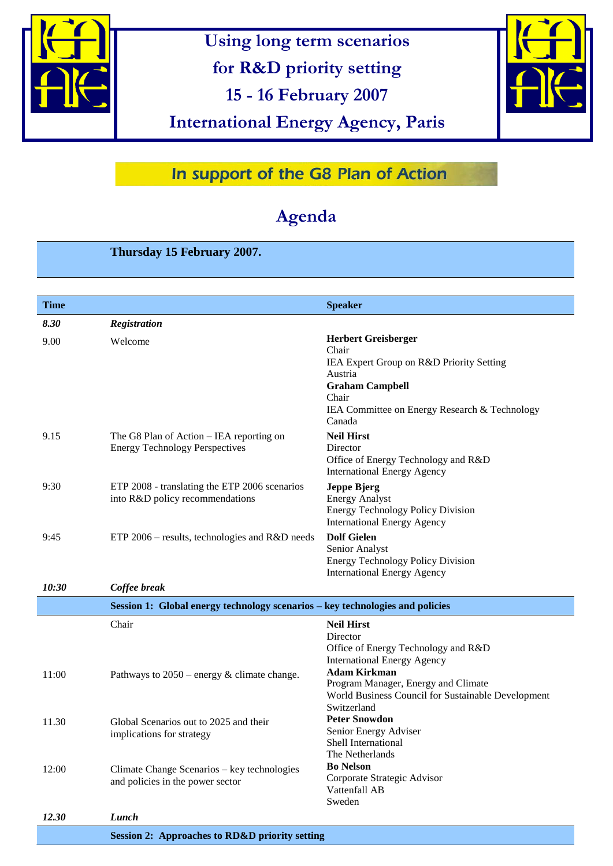

**Using long term scenarios** 

**for R&D priority setting**

**15 - 16 February 2007**

**International Energy Agency, Paris** 



## In support of the G8 Plan of Action

# **Agenda**

### **Thursday 15 February 2007.**

| Time  |                                                                                   | <b>Speaker</b>                                                                                                                                                                           |
|-------|-----------------------------------------------------------------------------------|------------------------------------------------------------------------------------------------------------------------------------------------------------------------------------------|
| 8.30  | Registration                                                                      |                                                                                                                                                                                          |
| 9.00  | Welcome                                                                           | <b>Herbert Greisberger</b><br>Chair<br>IEA Expert Group on R&D Priority Setting<br>Austria<br><b>Graham Campbell</b><br>Chair<br>IEA Committee on Energy Research & Technology<br>Canada |
| 9.15  | The G8 Plan of Action – IEA reporting on<br><b>Energy Technology Perspectives</b> | <b>Neil Hirst</b><br>Director<br>Office of Energy Technology and R&D<br><b>International Energy Agency</b>                                                                               |
| 9:30  | ETP 2008 - translating the ETP 2006 scenarios<br>into R&D policy recommendations  | <b>Jeppe Bjerg</b><br><b>Energy Analyst</b><br><b>Energy Technology Policy Division</b><br><b>International Energy Agency</b>                                                            |
| 9:45  | ETP 2006 – results, technologies and R&D needs                                    | <b>Dolf Gielen</b><br>Senior Analyst<br><b>Energy Technology Policy Division</b><br><b>International Energy Agency</b>                                                                   |
| 10:30 | Coffee break                                                                      |                                                                                                                                                                                          |
|       | Session 1: Global energy technology scenarios – key technologies and policies     |                                                                                                                                                                                          |
| 11:00 | Chair<br>Pathways to $2050$ – energy & climate change.                            | <b>Neil Hirst</b><br>Director<br>Office of Energy Technology and R&D<br><b>International Energy Agency</b><br><b>Adam Kirkman</b>                                                        |
|       |                                                                                   | Program Manager, Energy and Climate<br>World Business Council for Sustainable Development<br>Switzerland                                                                                 |
| 11.30 | Global Scenarios out to 2025 and their<br>implications for strategy               | <b>Peter Snowdon</b><br>Senior Energy Adviser<br>Shell International<br>The Netherlands                                                                                                  |
| 12:00 | Climate Change Scenarios - key technologies<br>and policies in the power sector   | <b>Bo Nelson</b><br>Corporate Strategic Advisor<br>Vattenfall AB<br>Sweden                                                                                                               |
| 12.30 | Lunch                                                                             |                                                                                                                                                                                          |
|       | <b>Session 2: Approaches to RD&amp;D priority setting</b>                         |                                                                                                                                                                                          |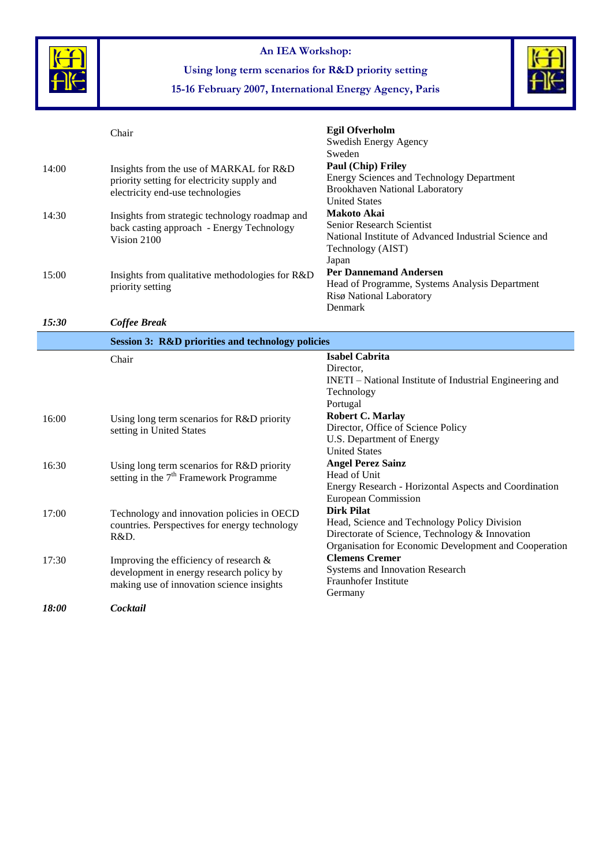

**An IEA Workshop:**

**Using long term scenarios for R&D priority setting**



**15-16 February 2007, International Energy Agency, Paris**

# Chair **Egil Ofverholm**

|                     |                                                                                       | Swedish Energy Agency<br>Sweden                                                                 |  |
|---------------------|---------------------------------------------------------------------------------------|-------------------------------------------------------------------------------------------------|--|
| 14:00               | Insights from the use of MARKAL for R&D                                               | Paul (Chip) Friley                                                                              |  |
|                     | priority setting for electricity supply and                                           | <b>Energy Sciences and Technology Department</b>                                                |  |
|                     | electricity end-use technologies                                                      | <b>Brookhaven National Laboratory</b>                                                           |  |
|                     |                                                                                       | <b>United States</b>                                                                            |  |
| 14:30               | Insights from strategic technology roadmap and                                        | <b>Makoto Akai</b>                                                                              |  |
|                     | back casting approach - Energy Technology                                             | <b>Senior Research Scientist</b>                                                                |  |
|                     | Vision 2100                                                                           | National Institute of Advanced Industrial Science and                                           |  |
|                     |                                                                                       | Technology (AIST)<br>Japan                                                                      |  |
|                     |                                                                                       | <b>Per Dannemand Andersen</b>                                                                   |  |
| 15:00               | Insights from qualitative methodologies for R&D<br>priority setting                   | Head of Programme, Systems Analysis Department                                                  |  |
|                     |                                                                                       | Risø National Laboratory                                                                        |  |
|                     |                                                                                       | Denmark                                                                                         |  |
| 15:30               | <b>Coffee Break</b>                                                                   |                                                                                                 |  |
|                     | <b>Session 3: R&amp;D priorities and technology policies</b>                          |                                                                                                 |  |
|                     | Chair                                                                                 | <b>Isabel Cabrita</b>                                                                           |  |
|                     |                                                                                       | Director,                                                                                       |  |
|                     |                                                                                       | INETI – National Institute of Industrial Engineering and                                        |  |
|                     |                                                                                       | Technology<br>Portugal                                                                          |  |
|                     |                                                                                       | <b>Robert C. Marlay</b>                                                                         |  |
| 16:00               | Using long term scenarios for R&D priority                                            | Director, Office of Science Policy                                                              |  |
|                     | setting in United States                                                              | U.S. Department of Energy                                                                       |  |
|                     |                                                                                       | <b>United States</b>                                                                            |  |
| 16:30               | Using long term scenarios for R&D priority                                            | <b>Angel Perez Sainz</b>                                                                        |  |
|                     | setting in the $7th$ Framework Programme                                              | Head of Unit                                                                                    |  |
|                     |                                                                                       | Energy Research - Horizontal Aspects and Coordination                                           |  |
|                     |                                                                                       | <b>European Commission</b>                                                                      |  |
| 17:00               | Technology and innovation policies in OECD                                            | <b>Dirk Pilat</b>                                                                               |  |
|                     | countries. Perspectives for energy technology                                         | Head, Science and Technology Policy Division<br>Directorate of Science, Technology & Innovation |  |
|                     | R&D.                                                                                  | Organisation for Economic Development and Cooperation                                           |  |
| 17:30               |                                                                                       | <b>Clemens Cremer</b>                                                                           |  |
|                     | Improving the efficiency of research $\&$<br>development in energy research policy by | Systems and Innovation Research                                                                 |  |
|                     | making use of innovation science insights                                             | Fraunhofer Institute                                                                            |  |
|                     |                                                                                       | Germany                                                                                         |  |
| <i><b>18:00</b></i> | Cocktail                                                                              |                                                                                                 |  |
|                     |                                                                                       |                                                                                                 |  |